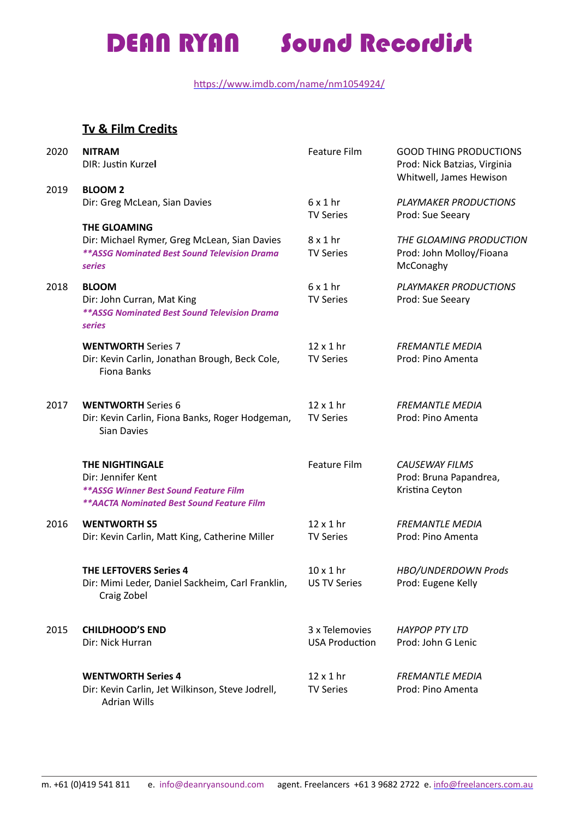https://www.imdb.com/name/nm1054924/

### **Tv & Film Credits**

| 2020 | <b>NITRAM</b><br>DIR: Justin Kurzel                                                                                                        | <b>Feature Film</b>                     | <b>GOOD THING PRODUCTIONS</b><br>Prod: Nick Batzias, Virginia<br>Whitwell, James Hewison |
|------|--------------------------------------------------------------------------------------------------------------------------------------------|-----------------------------------------|------------------------------------------------------------------------------------------|
| 2019 | <b>BLOOM 2</b><br>Dir: Greg McLean, Sian Davies                                                                                            | $6x1$ hr<br><b>TV Series</b>            | <b>PLAYMAKER PRODUCTIONS</b><br>Prod: Sue Seeary                                         |
|      | <b>THE GLOAMING</b><br>Dir: Michael Rymer, Greg McLean, Sian Davies<br><b>**ASSG Nominated Best Sound Television Drama</b><br>series       | $8x1$ hr<br><b>TV Series</b>            | THE GLOAMING PRODUCTION<br>Prod: John Molloy/Fioana<br>McConaghy                         |
| 2018 | <b>BLOOM</b><br>Dir: John Curran, Mat King<br>** ASSG Nominated Best Sound Television Drama<br>series                                      | $6x1$ hr<br><b>TV Series</b>            | <b>PLAYMAKER PRODUCTIONS</b><br>Prod: Sue Seeary                                         |
|      | <b>WENTWORTH Series 7</b><br>Dir: Kevin Carlin, Jonathan Brough, Beck Cole,<br>Fiona Banks                                                 | $12 \times 1$ hr<br><b>TV Series</b>    | <b>FREMANTLE MEDIA</b><br>Prod: Pino Amenta                                              |
| 2017 | <b>WENTWORTH Series 6</b><br>Dir: Kevin Carlin, Fiona Banks, Roger Hodgeman,<br><b>Sian Davies</b>                                         | $12 \times 1$ hr<br><b>TV Series</b>    | <b>FREMANTLE MEDIA</b><br>Prod: Pino Amenta                                              |
|      | THE NIGHTINGALE<br>Dir: Jennifer Kent<br><b>** ASSG Winner Best Sound Feature Film</b><br><b>**AACTA Nominated Best Sound Feature Film</b> | <b>Feature Film</b>                     | <b>CAUSEWAY FILMS</b><br>Prod: Bruna Papandrea,<br>Kristina Ceyton                       |
| 2016 | <b>WENTWORTH S5</b><br>Dir: Kevin Carlin, Matt King, Catherine Miller                                                                      | $12 \times 1$ hr<br><b>TV Series</b>    | <b>FREMANTLE MEDIA</b><br>Prod: Pino Amenta                                              |
|      | <b>THE LEFTOVERS Series 4</b><br>Dir: Mimi Leder, Daniel Sackheim, Carl Franklin,<br>Craig Zobel                                           | $10 \times 1$ hr<br><b>US TV Series</b> | HBO/UNDERDOWN Prods<br>Prod: Eugene Kelly                                                |
| 2015 | <b>CHILDHOOD'S END</b><br>Dir: Nick Hurran                                                                                                 | 3 x Telemovies<br><b>USA Production</b> | <b>HAYPOP PTY LTD</b><br>Prod: John G Lenic                                              |
|      | <b>WENTWORTH Series 4</b><br>Dir: Kevin Carlin, Jet Wilkinson, Steve Jodrell,<br><b>Adrian Wills</b>                                       | $12 \times 1$ hr<br><b>TV Series</b>    | <b>FREMANTLE MEDIA</b><br>Prod: Pino Amenta                                              |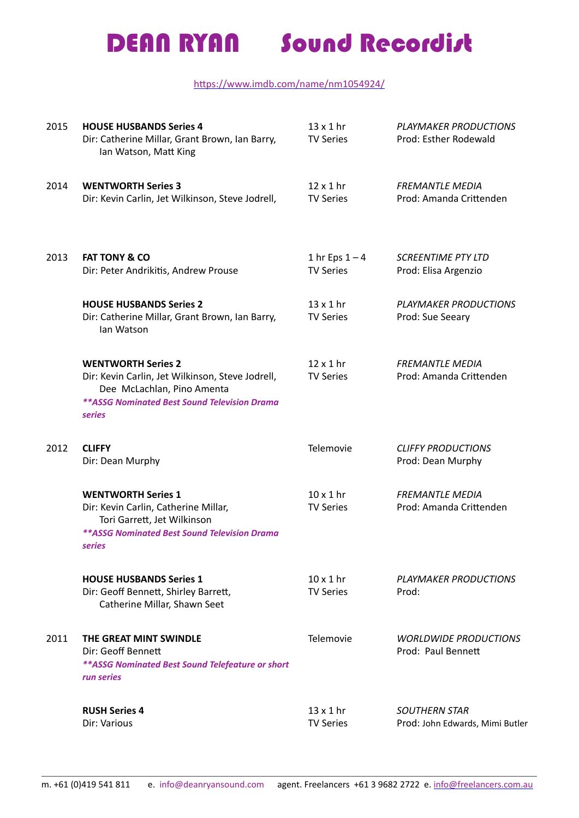### https://www.imdb.com/name/nm1054924/

| 2015 | <b>HOUSE HUSBANDS Series 4</b><br>Dir: Catherine Millar, Grant Brown, Ian Barry,<br>Ian Watson, Matt King                                                                           | $13 \times 1$ hr<br><b>TV Series</b> | <b>PLAYMAKER PRODUCTIONS</b><br>Prod: Esther Rodewald   |
|------|-------------------------------------------------------------------------------------------------------------------------------------------------------------------------------------|--------------------------------------|---------------------------------------------------------|
| 2014 | <b>WENTWORTH Series 3</b><br>Dir: Kevin Carlin, Jet Wilkinson, Steve Jodrell,                                                                                                       | $12 \times 1$ hr<br><b>TV Series</b> | <b>FREMANTLE MEDIA</b><br>Prod: Amanda Crittenden       |
| 2013 | <b>FAT TONY &amp; CO</b><br>Dir: Peter Andrikitis, Andrew Prouse                                                                                                                    | 1 hr Eps $1 - 4$<br><b>TV Series</b> | <b>SCREENTIME PTY LTD</b><br>Prod: Elisa Argenzio       |
|      | <b>HOUSE HUSBANDS Series 2</b><br>Dir: Catherine Millar, Grant Brown, Ian Barry,<br>lan Watson                                                                                      | $13 \times 1$ hr<br><b>TV Series</b> | PLAYMAKER PRODUCTIONS<br>Prod: Sue Seeary               |
|      | <b>WENTWORTH Series 2</b><br>Dir: Kevin Carlin, Jet Wilkinson, Steve Jodrell,<br>Dee McLachlan, Pino Amenta<br><b>**ASSG Nominated Best Sound Television Drama</b><br><b>series</b> | $12 \times 1$ hr<br><b>TV Series</b> | <b>FREMANTLE MEDIA</b><br>Prod: Amanda Crittenden       |
| 2012 | <b>CLIFFY</b><br>Dir: Dean Murphy                                                                                                                                                   | Telemovie                            | <b>CLIFFY PRODUCTIONS</b><br>Prod: Dean Murphy          |
|      | <b>WENTWORTH Series 1</b><br>Dir: Kevin Carlin, Catherine Millar,<br>Tori Garrett, Jet Wilkinson<br><b>**ASSG Nominated Best Sound Television Drama</b><br>series                   | $10 \times 1$ hr<br><b>TV Series</b> | <b>FREMANTLE MEDIA</b><br>Prod: Amanda Crittenden       |
|      | <b>HOUSE HUSBANDS Series 1</b><br>Dir: Geoff Bennett, Shirley Barrett,<br>Catherine Millar, Shawn Seet                                                                              | $10 \times 1$ hr<br><b>TV Series</b> | PLAYMAKER PRODUCTIONS<br>Prod:                          |
| 2011 | THE GREAT MINT SWINDLE<br>Dir: Geoff Bennett<br>** ASSG Nominated Best Sound Telefeature or short<br>run series                                                                     | Telemovie                            | <b>WORLDWIDE PRODUCTIONS</b><br>Prod: Paul Bennett      |
|      | <b>RUSH Series 4</b><br>Dir: Various                                                                                                                                                | $13 \times 1$ hr<br><b>TV Series</b> | <b>SOUTHERN STAR</b><br>Prod: John Edwards, Mimi Butler |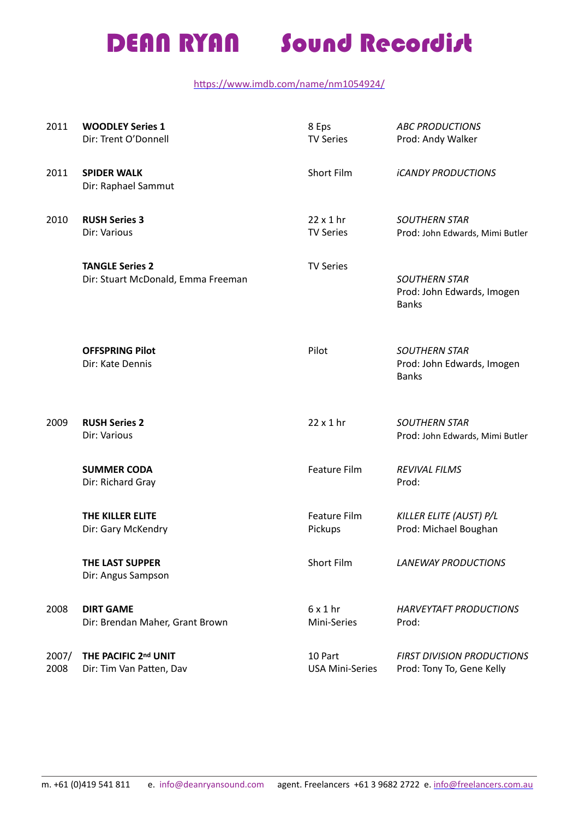### https://www.imdb.com/name/nm1054924/

| 2011          | <b>WOODLEY Series 1</b><br>Dir: Trent O'Donnell              | 8 Eps<br><b>TV Series</b>            | <b>ABC PRODUCTIONS</b><br>Prod: Andy Walker                        |
|---------------|--------------------------------------------------------------|--------------------------------------|--------------------------------------------------------------------|
| 2011          | <b>SPIDER WALK</b><br>Dir: Raphael Sammut                    | Short Film                           | <i><b>ICANDY PRODUCTIONS</b></i>                                   |
| 2010          | <b>RUSH Series 3</b><br>Dir: Various                         | $22 \times 1$ hr<br><b>TV Series</b> | <b>SOUTHERN STAR</b><br>Prod: John Edwards, Mimi Butler            |
|               | <b>TANGLE Series 2</b><br>Dir: Stuart McDonald, Emma Freeman | <b>TV Series</b>                     | <b>SOUTHERN STAR</b><br>Prod: John Edwards, Imogen<br><b>Banks</b> |
|               | <b>OFFSPRING Pilot</b><br>Dir: Kate Dennis                   | Pilot                                | <b>SOUTHERN STAR</b><br>Prod: John Edwards, Imogen<br><b>Banks</b> |
| 2009          | <b>RUSH Series 2</b><br>Dir: Various                         | $22 \times 1$ hr                     | <b>SOUTHERN STAR</b><br>Prod: John Edwards, Mimi Butler            |
|               | <b>SUMMER CODA</b><br>Dir: Richard Gray                      | Feature Film                         | <b>REVIVAL FILMS</b><br>Prod:                                      |
|               | THE KILLER ELITE<br>Dir: Gary McKendry                       | Feature Film<br>Pickups              | KILLER ELITE (AUST) P/L<br>Prod: Michael Boughan                   |
|               | THE LAST SUPPER<br>Dir: Angus Sampson                        | Short Film                           | <b>LANEWAY PRODUCTIONS</b>                                         |
| 2008          | <b>DIRT GAME</b><br>Dir: Brendan Maher, Grant Brown          | $6 \times 1$ hr<br>Mini-Series       | <b>HARVEYTAFT PRODUCTIONS</b><br>Prod:                             |
| 2007/<br>2008 | THE PACIFIC 2nd UNIT<br>Dir: Tim Van Patten, Dav             | 10 Part<br><b>USA Mini-Series</b>    | <b>FIRST DIVISION PRODUCTIONS</b><br>Prod: Tony To, Gene Kelly     |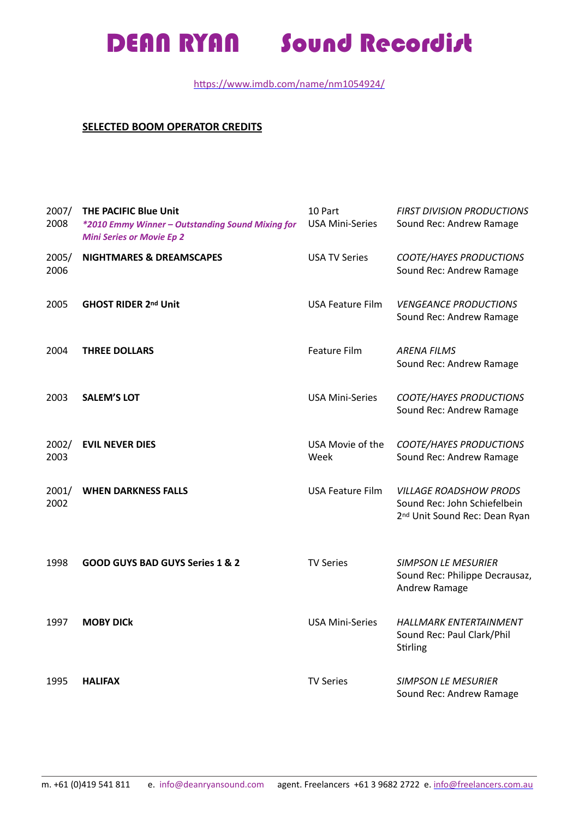### https://www.imdb.com/name/nm1054924/

### **SELECTED BOOM OPERATOR CREDITS**

| 2007/<br>2008 | <b>THE PACIFIC Blue Unit</b><br>*2010 Emmy Winner - Outstanding Sound Mixing for<br><b>Mini Series or Movie Ep 2</b> | 10 Part<br><b>USA Mini-Series</b> | <b>FIRST DIVISION PRODUCTIONS</b><br>Sound Rec: Andrew Ramage                                              |
|---------------|----------------------------------------------------------------------------------------------------------------------|-----------------------------------|------------------------------------------------------------------------------------------------------------|
| 2005/<br>2006 | <b>NIGHTMARES &amp; DREAMSCAPES</b>                                                                                  | <b>USA TV Series</b>              | <b>COOTE/HAYES PRODUCTIONS</b><br>Sound Rec: Andrew Ramage                                                 |
| 2005          | <b>GHOST RIDER 2nd Unit</b>                                                                                          | <b>USA Feature Film</b>           | <b>VENGEANCE PRODUCTIONS</b><br>Sound Rec: Andrew Ramage                                                   |
| 2004          | <b>THREE DOLLARS</b>                                                                                                 | Feature Film                      | <b>ARENA FILMS</b><br>Sound Rec: Andrew Ramage                                                             |
| 2003          | <b>SALEM'S LOT</b>                                                                                                   | <b>USA Mini-Series</b>            | <b>COOTE/HAYES PRODUCTIONS</b><br>Sound Rec: Andrew Ramage                                                 |
| 2002/<br>2003 | <b>EVIL NEVER DIES</b>                                                                                               | USA Movie of the<br>Week          | <b>COOTE/HAYES PRODUCTIONS</b><br>Sound Rec: Andrew Ramage                                                 |
| 2001/<br>2002 | <b>WHEN DARKNESS FALLS</b>                                                                                           | <b>USA Feature Film</b>           | <b>VILLAGE ROADSHOW PRODS</b><br>Sound Rec: John Schiefelbein<br>2 <sup>nd</sup> Unit Sound Rec: Dean Ryan |
| 1998          | <b>GOOD GUYS BAD GUYS Series 1 &amp; 2</b>                                                                           | <b>TV Series</b>                  | <b>SIMPSON LE MESURIER</b><br>Sound Rec: Philippe Decrausaz,<br>Andrew Ramage                              |
| 1997          | <b>MOBY DICK</b>                                                                                                     | <b>USA Mini-Series</b>            | <b>HALLMARK ENTERTAINMENT</b><br>Sound Rec: Paul Clark/Phil<br>Stirling                                    |
| 1995          | <b>HALIFAX</b>                                                                                                       | <b>TV Series</b>                  | <b>SIMPSON LE MESURIER</b><br>Sound Rec: Andrew Ramage                                                     |